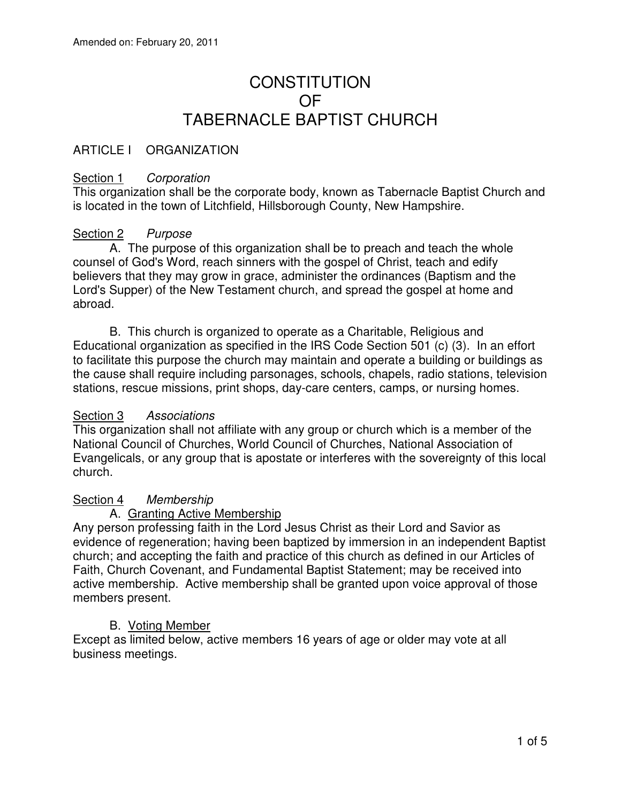# **CONSTITUTION** OF TABERNACLE BAPTIST CHURCH

## ARTICLE I ORGANIZATION

## Section 1 Corporation

This organization shall be the corporate body, known as Tabernacle Baptist Church and is located in the town of Litchfield, Hillsborough County, New Hampshire.

## Section 2 Purpose

 A. The purpose of this organization shall be to preach and teach the whole counsel of God's Word, reach sinners with the gospel of Christ, teach and edify believers that they may grow in grace, administer the ordinances (Baptism and the Lord's Supper) of the New Testament church, and spread the gospel at home and abroad.

 B. This church is organized to operate as a Charitable, Religious and Educational organization as specified in the IRS Code Section 501 (c) (3). In an effort to facilitate this purpose the church may maintain and operate a building or buildings as the cause shall require including parsonages, schools, chapels, radio stations, television stations, rescue missions, print shops, day-care centers, camps, or nursing homes.

#### Section 3 Associations

This organization shall not affiliate with any group or church which is a member of the National Council of Churches, World Council of Churches, National Association of Evangelicals, or any group that is apostate or interferes with the sovereignty of this local church.

#### Section 4 Membership

#### A. Granting Active Membership

Any person professing faith in the Lord Jesus Christ as their Lord and Savior as evidence of regeneration; having been baptized by immersion in an independent Baptist church; and accepting the faith and practice of this church as defined in our Articles of Faith, Church Covenant, and Fundamental Baptist Statement; may be received into active membership. Active membership shall be granted upon voice approval of those members present.

#### B. Voting Member

Except as limited below, active members 16 years of age or older may vote at all business meetings.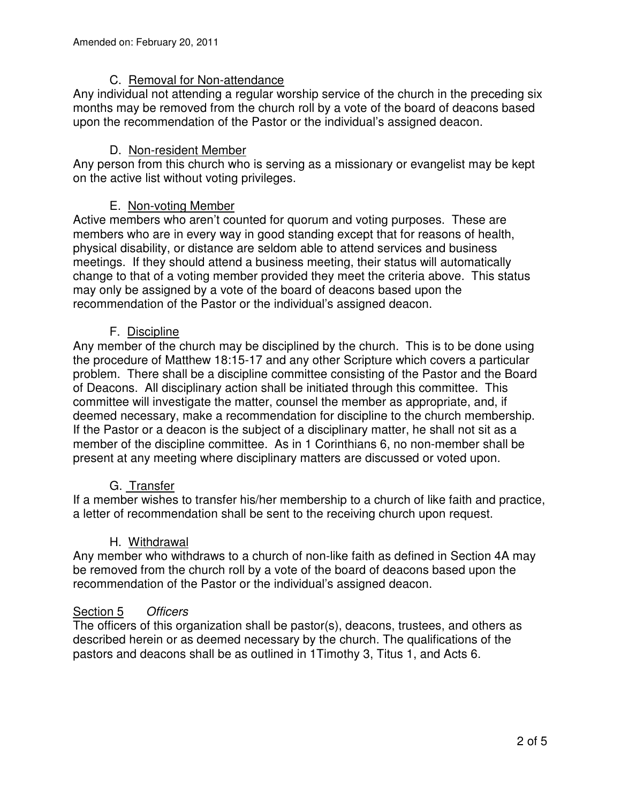## C. Removal for Non-attendance

Any individual not attending a regular worship service of the church in the preceding six months may be removed from the church roll by a vote of the board of deacons based upon the recommendation of the Pastor or the individual's assigned deacon.

## D. Non-resident Member

Any person from this church who is serving as a missionary or evangelist may be kept on the active list without voting privileges.

## E. Non-voting Member

Active members who aren't counted for quorum and voting purposes. These are members who are in every way in good standing except that for reasons of health, physical disability, or distance are seldom able to attend services and business meetings. If they should attend a business meeting, their status will automatically change to that of a voting member provided they meet the criteria above. This status may only be assigned by a vote of the board of deacons based upon the recommendation of the Pastor or the individual's assigned deacon.

#### F. Discipline

Any member of the church may be disciplined by the church. This is to be done using the procedure of Matthew 18:15-17 and any other Scripture which covers a particular problem. There shall be a discipline committee consisting of the Pastor and the Board of Deacons. All disciplinary action shall be initiated through this committee. This committee will investigate the matter, counsel the member as appropriate, and, if deemed necessary, make a recommendation for discipline to the church membership. If the Pastor or a deacon is the subject of a disciplinary matter, he shall not sit as a member of the discipline committee. As in 1 Corinthians 6, no non-member shall be present at any meeting where disciplinary matters are discussed or voted upon.

#### G. Transfer

If a member wishes to transfer his/her membership to a church of like faith and practice, a letter of recommendation shall be sent to the receiving church upon request.

#### H. Withdrawal

Any member who withdraws to a church of non-like faith as defined in Section 4A may be removed from the church roll by a vote of the board of deacons based upon the recommendation of the Pastor or the individual's assigned deacon.

#### Section 5 Officers

The officers of this organization shall be pastor(s), deacons, trustees, and others as described herein or as deemed necessary by the church. The qualifications of the pastors and deacons shall be as outlined in 1Timothy 3, Titus 1, and Acts 6.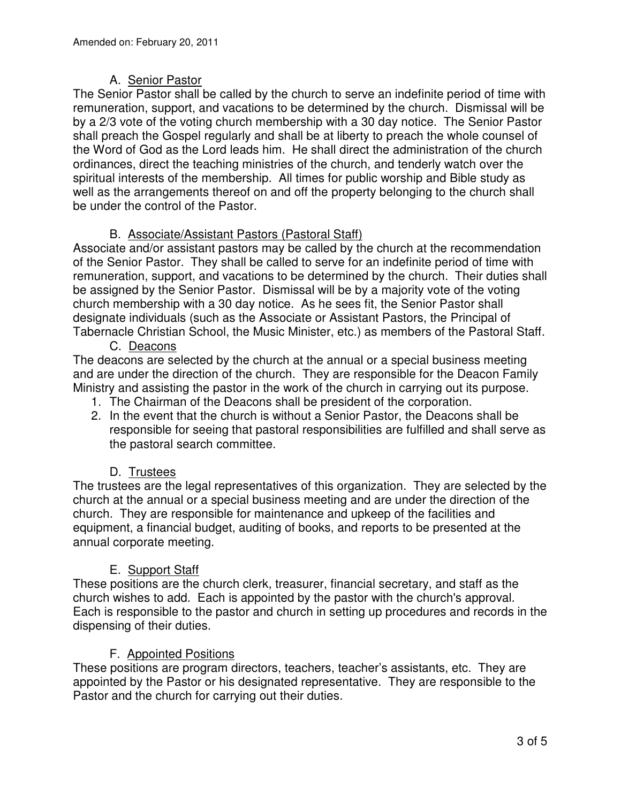# A. Senior Pastor

The Senior Pastor shall be called by the church to serve an indefinite period of time with remuneration, support, and vacations to be determined by the church. Dismissal will be by a 2/3 vote of the voting church membership with a 30 day notice. The Senior Pastor shall preach the Gospel regularly and shall be at liberty to preach the whole counsel of the Word of God as the Lord leads him. He shall direct the administration of the church ordinances, direct the teaching ministries of the church, and tenderly watch over the spiritual interests of the membership. All times for public worship and Bible study as well as the arrangements thereof on and off the property belonging to the church shall be under the control of the Pastor.

# B. Associate/Assistant Pastors (Pastoral Staff)

Associate and/or assistant pastors may be called by the church at the recommendation of the Senior Pastor. They shall be called to serve for an indefinite period of time with remuneration, support, and vacations to be determined by the church. Their duties shall be assigned by the Senior Pastor. Dismissal will be by a majority vote of the voting church membership with a 30 day notice. As he sees fit, the Senior Pastor shall designate individuals (such as the Associate or Assistant Pastors, the Principal of Tabernacle Christian School, the Music Minister, etc.) as members of the Pastoral Staff.

C. Deacons

The deacons are selected by the church at the annual or a special business meeting and are under the direction of the church. They are responsible for the Deacon Family Ministry and assisting the pastor in the work of the church in carrying out its purpose.

- 1. The Chairman of the Deacons shall be president of the corporation.
- 2. In the event that the church is without a Senior Pastor, the Deacons shall be responsible for seeing that pastoral responsibilities are fulfilled and shall serve as the pastoral search committee.

## D. Trustees

The trustees are the legal representatives of this organization. They are selected by the church at the annual or a special business meeting and are under the direction of the church. They are responsible for maintenance and upkeep of the facilities and equipment, a financial budget, auditing of books, and reports to be presented at the annual corporate meeting.

## E. Support Staff

These positions are the church clerk, treasurer, financial secretary, and staff as the church wishes to add. Each is appointed by the pastor with the church's approval. Each is responsible to the pastor and church in setting up procedures and records in the dispensing of their duties.

## F. Appointed Positions

These positions are program directors, teachers, teacher's assistants, etc. They are appointed by the Pastor or his designated representative. They are responsible to the Pastor and the church for carrying out their duties.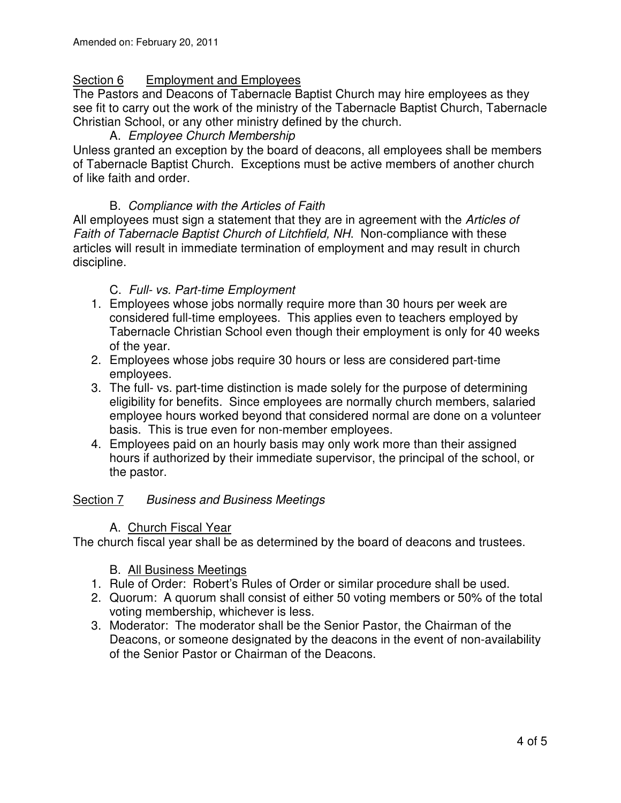## Section 6 Employment and Employees

The Pastors and Deacons of Tabernacle Baptist Church may hire employees as they see fit to carry out the work of the ministry of the Tabernacle Baptist Church, Tabernacle Christian School, or any other ministry defined by the church.

## A. Employee Church Membership

Unless granted an exception by the board of deacons, all employees shall be members of Tabernacle Baptist Church. Exceptions must be active members of another church of like faith and order.

#### B. Compliance with the Articles of Faith

All employees must sign a statement that they are in agreement with the Articles of Faith of Tabernacle Baptist Church of Litchfield, NH. Non-compliance with these articles will result in immediate termination of employment and may result in church discipline.

#### C. Full- vs. Part-time Employment

- 1. Employees whose jobs normally require more than 30 hours per week are considered full-time employees. This applies even to teachers employed by Tabernacle Christian School even though their employment is only for 40 weeks of the year.
- 2. Employees whose jobs require 30 hours or less are considered part-time employees.
- 3. The full- vs. part-time distinction is made solely for the purpose of determining eligibility for benefits. Since employees are normally church members, salaried employee hours worked beyond that considered normal are done on a volunteer basis. This is true even for non-member employees.
- 4. Employees paid on an hourly basis may only work more than their assigned hours if authorized by their immediate supervisor, the principal of the school, or the pastor.

#### Section 7 Business and Business Meetings

#### A. Church Fiscal Year

The church fiscal year shall be as determined by the board of deacons and trustees.

#### B. All Business Meetings

- 1. Rule of Order: Robert's Rules of Order or similar procedure shall be used.
- 2. Quorum: A quorum shall consist of either 50 voting members or 50% of the total voting membership, whichever is less.
- 3. Moderator: The moderator shall be the Senior Pastor, the Chairman of the Deacons, or someone designated by the deacons in the event of non-availability of the Senior Pastor or Chairman of the Deacons.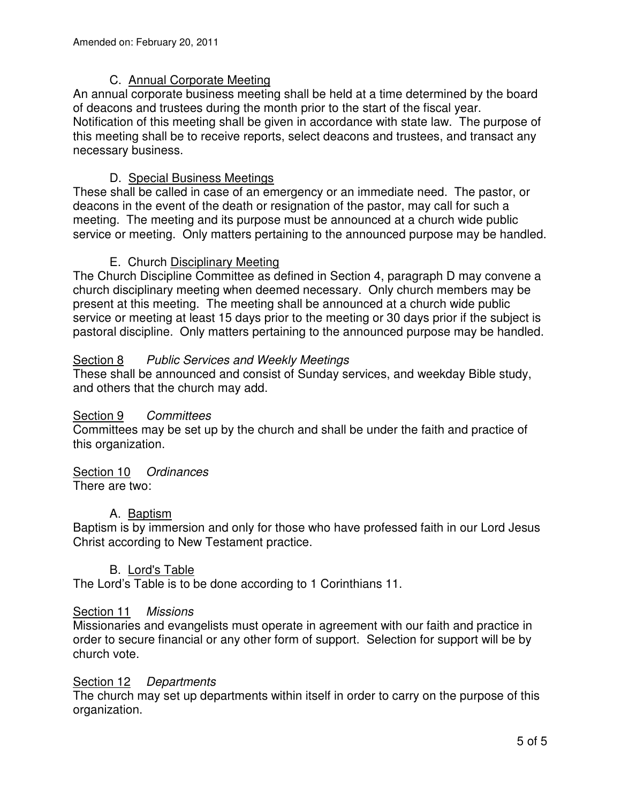## C. Annual Corporate Meeting

An annual corporate business meeting shall be held at a time determined by the board of deacons and trustees during the month prior to the start of the fiscal year. Notification of this meeting shall be given in accordance with state law. The purpose of this meeting shall be to receive reports, select deacons and trustees, and transact any necessary business.

# D. Special Business Meetings

These shall be called in case of an emergency or an immediate need. The pastor, or deacons in the event of the death or resignation of the pastor, may call for such a meeting. The meeting and its purpose must be announced at a church wide public service or meeting. Only matters pertaining to the announced purpose may be handled.

## E. Church Disciplinary Meeting

The Church Discipline Committee as defined in Section 4, paragraph D may convene a church disciplinary meeting when deemed necessary. Only church members may be present at this meeting. The meeting shall be announced at a church wide public service or meeting at least 15 days prior to the meeting or 30 days prior if the subject is pastoral discipline. Only matters pertaining to the announced purpose may be handled.

## Section 8 Public Services and Weekly Meetings

These shall be announced and consist of Sunday services, and weekday Bible study, and others that the church may add.

#### Section 9 Committees

Committees may be set up by the church and shall be under the faith and practice of this organization.

## Section 10 Ordinances

There are two:

## A. Baptism

Baptism is by immersion and only for those who have professed faith in our Lord Jesus Christ according to New Testament practice.

#### B. Lord's Table

The Lord's Table is to be done according to 1 Corinthians 11.

#### Section 11 Missions

Missionaries and evangelists must operate in agreement with our faith and practice in order to secure financial or any other form of support. Selection for support will be by church vote.

#### Section 12 Departments

The church may set up departments within itself in order to carry on the purpose of this organization.